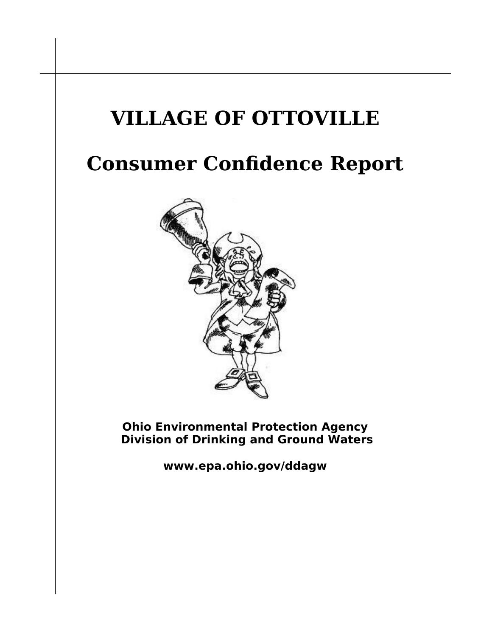## **VILLAGE OF OTTOVILLE**

## **Consumer Confidence Report**



**Ohio Environmental Protection Agency Division of Drinking and Ground Waters**

**www.epa.ohio.gov/ddagw**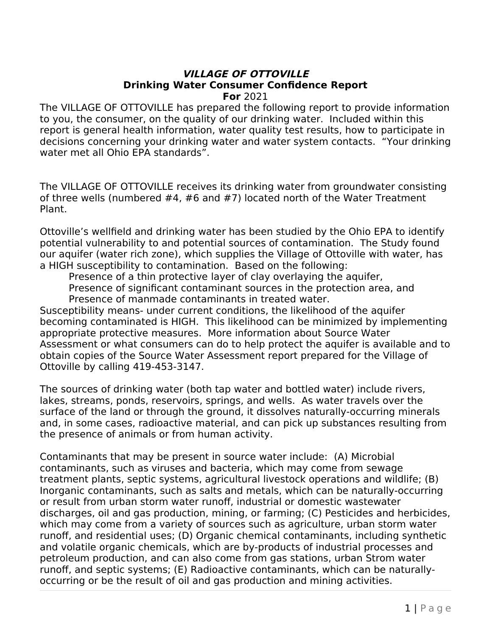## **VILLAGE OF OTTOVILLE Drinking Water Consumer Confidence Report For** 2021

The VILLAGE OF OTTOVILLE has prepared the following report to provide information to you, the consumer, on the quality of our drinking water. Included within this report is general health information, water quality test results, how to participate in decisions concerning your drinking water and water system contacts. "Your drinking water met all Ohio EPA standards".

The VILLAGE OF OTTOVILLE receives its drinking water from groundwater consisting of three wells (numbered #4, #6 and #7) located north of the Water Treatment Plant.

Ottoville's wellfield and drinking water has been studied by the Ohio EPA to identify potential vulnerability to and potential sources of contamination. The Study found our aquifer (water rich zone), which supplies the Village of Ottoville with water, has a HIGH susceptibility to contamination. Based on the following:

Presence of a thin protective layer of clay overlaying the aquifer,

Presence of significant contaminant sources in the protection area, and Presence of manmade contaminants in treated water.

Susceptibility means- under current conditions, the likelihood of the aquifer becoming contaminated is HIGH. This likelihood can be minimized by implementing appropriate protective measures. More information about Source Water Assessment or what consumers can do to help protect the aquifer is available and to obtain copies of the Source Water Assessment report prepared for the Village of Ottoville by calling 419-453-3147.

The sources of drinking water (both tap water and bottled water) include rivers, lakes, streams, ponds, reservoirs, springs, and wells. As water travels over the surface of the land or through the ground, it dissolves naturally-occurring minerals and, in some cases, radioactive material, and can pick up substances resulting from the presence of animals or from human activity.

Contaminants that may be present in source water include: (A) Microbial contaminants, such as viruses and bacteria, which may come from sewage treatment plants, septic systems, agricultural livestock operations and wildlife; (B) Inorganic contaminants, such as salts and metals, which can be naturally-occurring or result from urban storm water runoff, industrial or domestic wastewater discharges, oil and gas production, mining, or farming; (C) Pesticides and herbicides, which may come from a variety of sources such as agriculture, urban storm water runoff, and residential uses; (D) Organic chemical contaminants, including synthetic and volatile organic chemicals, which are by-products of industrial processes and petroleum production, and can also come from gas stations, urban Strom water runoff, and septic systems; (E) Radioactive contaminants, which can be naturallyoccurring or be the result of oil and gas production and mining activities.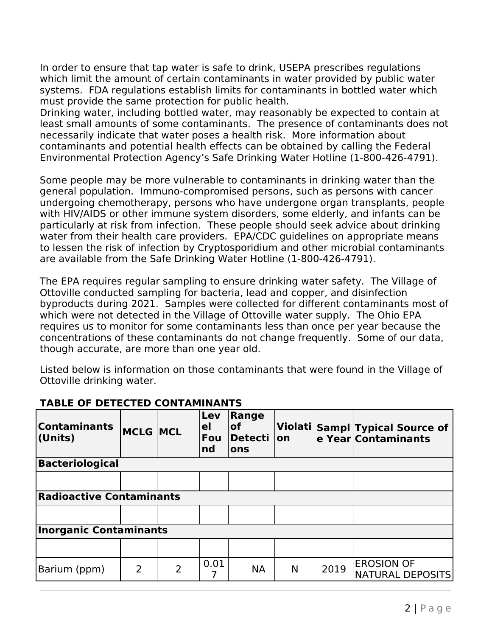In order to ensure that tap water is safe to drink, USEPA prescribes regulations which limit the amount of certain contaminants in water provided by public water systems. FDA regulations establish limits for contaminants in bottled water which must provide the same protection for public health.

Drinking water, including bottled water, may reasonably be expected to contain at least small amounts of some contaminants. The presence of contaminants does not necessarily indicate that water poses a health risk. More information about contaminants and potential health effects can be obtained by calling the Federal Environmental Protection Agency's Safe Drinking Water Hotline (1-800-426-4791).

Some people may be more vulnerable to contaminants in drinking water than the general population. Immuno-compromised persons, such as persons with cancer undergoing chemotherapy, persons who have undergone organ transplants, people with HIV/AIDS or other immune system disorders, some elderly, and infants can be particularly at risk from infection. These people should seek advice about drinking water from their health care providers. EPA/CDC guidelines on appropriate means to lessen the risk of infection by Cryptosporidium and other microbial contaminants are available from the Safe Drinking Water Hotline (1-800-426-4791).

The EPA requires regular sampling to ensure drinking water safety. The Village of Ottoville conducted sampling for bacteria, lead and copper, and disinfection byproducts during 2021. Samples were collected for different contaminants most of which were not detected in the Village of Ottoville water supply. The Ohio EPA requires us to monitor for some contaminants less than once per year because the concentrations of these contaminants do not change frequently. Some of our data, though accurate, are more than one year old.

Listed below is information on those contaminants that were found in the Village of Ottoville drinking water.

| <b>Contaminants</b><br>(Units)  | <b>MCLG MCL</b> |                | Lev<br>el<br>Fou<br>nd | Range<br><b>of</b><br> Detecti<br>ons | lon |      | Violati Sampl Typical Source of<br>e Year Contaminants |  |
|---------------------------------|-----------------|----------------|------------------------|---------------------------------------|-----|------|--------------------------------------------------------|--|
| <b>Bacteriological</b>          |                 |                |                        |                                       |     |      |                                                        |  |
|                                 |                 |                |                        |                                       |     |      |                                                        |  |
| <b>Radioactive Contaminants</b> |                 |                |                        |                                       |     |      |                                                        |  |
|                                 |                 |                |                        |                                       |     |      |                                                        |  |
| <b>Inorganic Contaminants</b>   |                 |                |                        |                                       |     |      |                                                        |  |
|                                 |                 |                |                        |                                       |     |      |                                                        |  |
| Barium (ppm)                    | $\overline{2}$  | $\overline{2}$ | 0.01                   | <b>NA</b>                             | N   | 2019 | <b>EROSION OF</b><br><b>NATURAL DEPOSITS</b>           |  |

## **TABLE OF DETECTED CONTAMINANTS**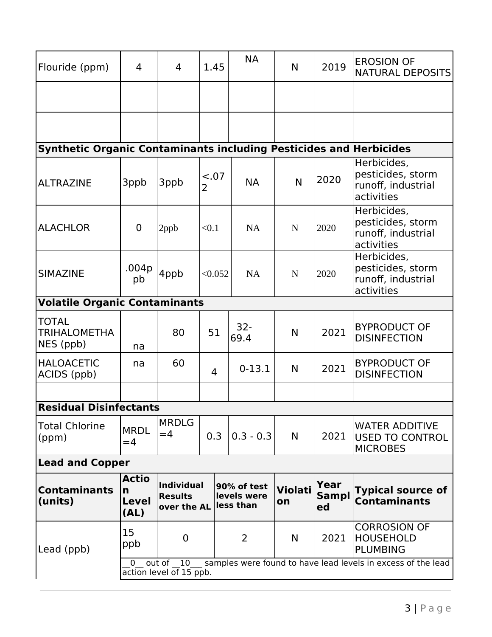| Flouride (ppm)                                                            | 4                                                                                                                | 4                                                  | 1.45        |                                         | <b>NA</b>      | N                    | 2019                | <b>EROSION OF</b><br><b>NATURAL DEPOSITS</b>                         |  |  |
|---------------------------------------------------------------------------|------------------------------------------------------------------------------------------------------------------|----------------------------------------------------|-------------|-----------------------------------------|----------------|----------------------|---------------------|----------------------------------------------------------------------|--|--|
|                                                                           |                                                                                                                  |                                                    |             |                                         |                |                      |                     |                                                                      |  |  |
|                                                                           |                                                                                                                  |                                                    |             |                                         |                |                      |                     |                                                                      |  |  |
| <b>Synthetic Organic Contaminants including Pesticides and Herbicides</b> |                                                                                                                  |                                                    |             |                                         |                |                      |                     |                                                                      |  |  |
| <b>ALTRAZINE</b>                                                          | 3ppb                                                                                                             | 3ppb                                               | $-.07$<br>2 |                                         | <b>NA</b>      | N                    | 2020                | Herbicides,<br>pesticides, storm<br>runoff, industrial<br>activities |  |  |
| <b>ALACHLOR</b>                                                           | $\overline{0}$                                                                                                   | 2ppb                                               | < 0.1       |                                         | <b>NA</b>      | $\mathbf N$          | 2020                | Herbicides,<br>pesticides, storm<br>runoff, industrial<br>activities |  |  |
| <b>SIMAZINE</b>                                                           | .004p<br>pb                                                                                                      | 4ppb                                               | < 0.052     |                                         | <b>NA</b>      | $\mathbf N$          | 2020                | Herbicides,<br>pesticides, storm<br>runoff, industrial<br>activities |  |  |
| <b>Volatile Organic Contaminants</b>                                      |                                                                                                                  |                                                    |             |                                         |                |                      |                     |                                                                      |  |  |
| <b>TOTAL</b><br><b>TRIHALOMETHA</b><br>NES (ppb)                          | na                                                                                                               | 80                                                 | 51          |                                         | $32 -$<br>69.4 | N                    | 2021                | <b>BYPRODUCT OF</b><br><b>DISINFECTION</b>                           |  |  |
| <b>HALOACETIC</b><br>ACIDS (ppb)                                          | na                                                                                                               | 60                                                 | 4           |                                         | $0 - 13.1$     | N                    | 2021                | <b>BYPRODUCT OF</b><br><b>DISINFECTION</b>                           |  |  |
|                                                                           |                                                                                                                  |                                                    |             |                                         |                |                      |                     |                                                                      |  |  |
| <b>Residual Disinfectants</b>                                             |                                                                                                                  |                                                    |             |                                         |                |                      |                     |                                                                      |  |  |
| <b>Total Chlorine</b><br>(ppm)                                            | <b>MRDL</b><br>$=4$                                                                                              | <b>MRDLG</b><br>$=4$                               | 0.3         |                                         | $0.3 - 0.3$    | N                    | 2021                | <b>WATER ADDITIVE</b><br><b>USED TO CONTROL</b><br><b>MICROBES</b>   |  |  |
| <b>Lead and Copper</b>                                                    |                                                                                                                  |                                                    |             |                                         |                |                      |                     |                                                                      |  |  |
| <b>Contaminants</b><br>(units)                                            | <b>Actio</b><br>n<br><b>Level</b><br>(AL)                                                                        | <b>Individual</b><br><b>Results</b><br>over the AL |             | 90% of test<br>levels were<br>less than |                | <b>Violati</b><br>on | Year<br>Sampl<br>ed | <b>Typical source of</b><br><b>Contaminants</b>                      |  |  |
| Lead (ppb)                                                                | 15<br>ppb                                                                                                        | $\overline{0}$                                     |             | 2                                       |                | N                    | 2021                | <b>CORROSION OF</b><br><b>HOUSEHOLD</b><br><b>PLUMBING</b>           |  |  |
|                                                                           | samples were found to have lead levels in excess of the lead<br>out of 10<br>$\Omega$<br>action level of 15 ppb. |                                                    |             |                                         |                |                      |                     |                                                                      |  |  |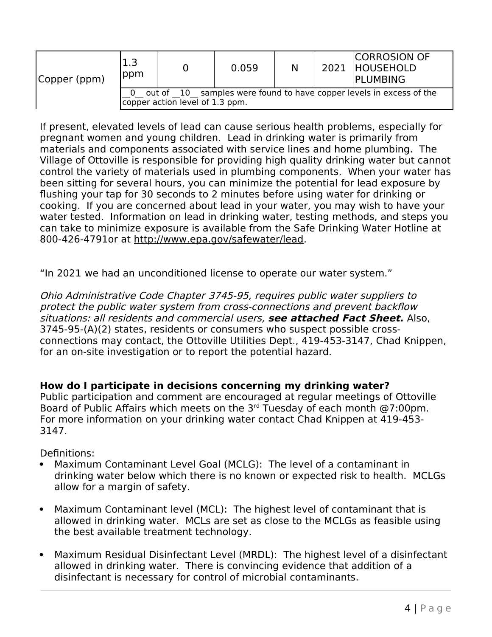| Copper (ppm) | ppm                                                                                                    |  | 0.059 | N |  | <b>CORROSION OF</b><br>2021 HOUSEHOLD<br>IPLUMBING |  |  |
|--------------|--------------------------------------------------------------------------------------------------------|--|-------|---|--|----------------------------------------------------|--|--|
|              | out of 10 samples were found to have copper levels in excess of the<br>copper action level of 1.3 ppm. |  |       |   |  |                                                    |  |  |

If present, elevated levels of lead can cause serious health problems, especially for pregnant women and young children. Lead in drinking water is primarily from materials and components associated with service lines and home plumbing. The Village of Ottoville is responsible for providing high quality drinking water but cannot control the variety of materials used in plumbing components. When your water has been sitting for several hours, you can minimize the potential for lead exposure by flushing your tap for 30 seconds to 2 minutes before using water for drinking or cooking. If you are concerned about lead in your water, you may wish to have your water tested. Information on lead in drinking water, testing methods, and steps you can take to minimize exposure is available from the Safe Drinking Water Hotline at 800-426-4791or at<http://www.epa.gov/safewater/lead>.

"In 2021 we had an unconditioned license to operate our water system."

Ohio Administrative Code Chapter 3745-95, requires public water suppliers to protect the public water system from cross-connections and prevent backflow situations: all residents and commercial users, **see attached Fact Sheet.** Also, 3745-95-(A)(2) states, residents or consumers who suspect possible crossconnections may contact, the Ottoville Utilities Dept., 419-453-3147, Chad Knippen, for an on-site investigation or to report the potential hazard.

**How do I participate in decisions concerning my drinking water?**

Public participation and comment are encouraged at regular meetings of Ottoville Board of Public Affairs which meets on the 3rd Tuesday of each month @7:00pm. For more information on your drinking water contact Chad Knippen at 419-453- 3147.

Definitions:

- Maximum Contaminant Level Goal (MCLG): The level of a contaminant in drinking water below which there is no known or expected risk to health. MCLGs allow for a margin of safety.
- Maximum Contaminant level (MCL): The highest level of contaminant that is allowed in drinking water. MCLs are set as close to the MCLGs as feasible using the best available treatment technology.
- Maximum Residual Disinfectant Level (MRDL): The highest level of a disinfectant allowed in drinking water. There is convincing evidence that addition of a disinfectant is necessary for control of microbial contaminants.